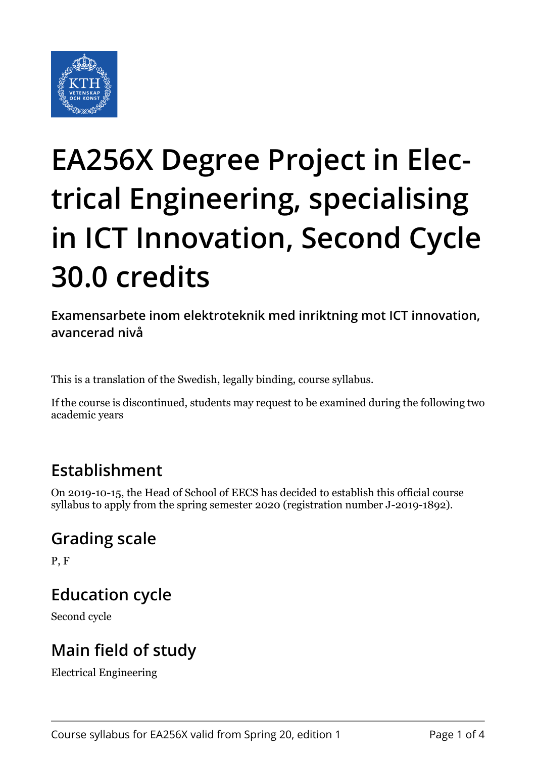

# **EA256X Degree Project in Electrical Engineering, specialising in ICT Innovation, Second Cycle 30.0 credits**

**Examensarbete inom elektroteknik med inriktning mot ICT innovation, avancerad nivå**

This is a translation of the Swedish, legally binding, course syllabus.

If the course is discontinued, students may request to be examined during the following two academic years

# **Establishment**

On 2019-10-15, the Head of School of EECS has decided to establish this official course syllabus to apply from the spring semester 2020 (registration number J-2019-1892).

# **Grading scale**

P, F

# **Education cycle**

Second cycle

# **Main field of study**

Electrical Engineering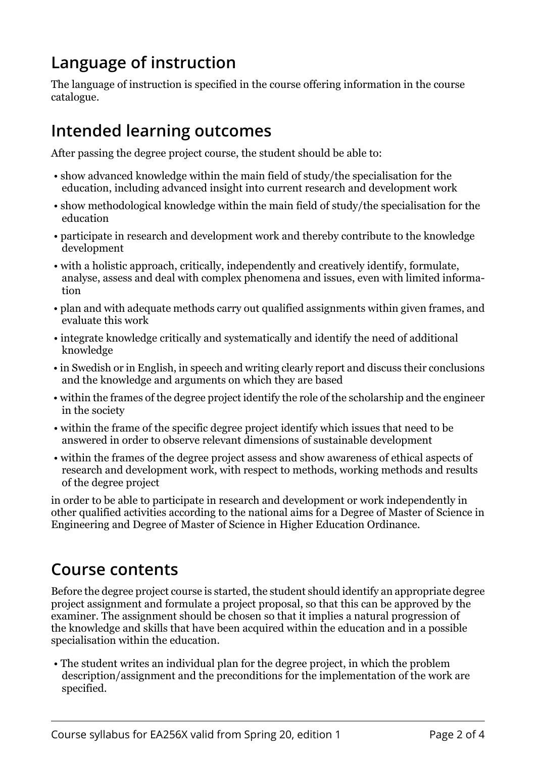# **Language of instruction**

The language of instruction is specified in the course offering information in the course catalogue.

# **Intended learning outcomes**

After passing the degree project course, the student should be able to:

- show advanced knowledge within the main field of study/the specialisation for the education, including advanced insight into current research and development work
- show methodological knowledge within the main field of study/the specialisation for the education
- participate in research and development work and thereby contribute to the knowledge development
- with a holistic approach, critically, independently and creatively identify, formulate, analyse, assess and deal with complex phenomena and issues, even with limited information
- plan and with adequate methods carry out qualified assignments within given frames, and evaluate this work
- integrate knowledge critically and systematically and identify the need of additional knowledge
- in Swedish or in English, in speech and writing clearly report and discuss their conclusions and the knowledge and arguments on which they are based
- within the frames of the degree project identify the role of the scholarship and the engineer in the society
- within the frame of the specific degree project identify which issues that need to be answered in order to observe relevant dimensions of sustainable development
- within the frames of the degree project assess and show awareness of ethical aspects of research and development work, with respect to methods, working methods and results of the degree project

in order to be able to participate in research and development or work independently in other qualified activities according to the national aims for a Degree of Master of Science in Engineering and Degree of Master of Science in Higher Education Ordinance.

# **Course contents**

Before the degree project course is started, the student should identify an appropriate degree project assignment and formulate a project proposal, so that this can be approved by the examiner. The assignment should be chosen so that it implies a natural progression of the knowledge and skills that have been acquired within the education and in a possible specialisation within the education.

 • The student writes an individual plan for the degree project, in which the problem description/assignment and the preconditions for the implementation of the work are specified.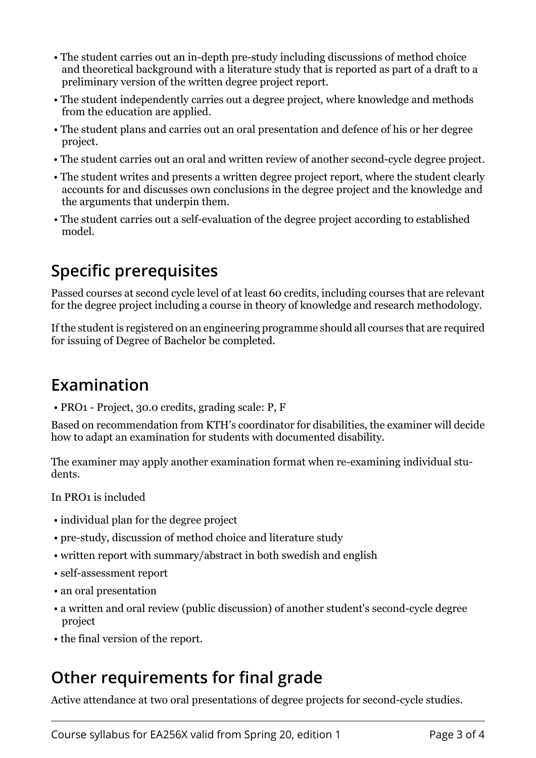- The student carries out an in-depth pre-study including discussions of method choice and theoretical background with a literature study that is reported as part of a draft to a preliminary version of the written degree project report.
- The student independently carries out a degree project, where knowledge and methods from the education are applied.
- The student plans and carries out an oral presentation and defence of his or her degree project.
- The student carries out an oral and written review of another second-cycle degree project.
- The student writes and presents a written degree project report, where the student clearly accounts for and discusses own conclusions in the degree project and the knowledge and the arguments that underpin them.
- The student carries out a self-evaluation of the degree project according to established model.

# **Specific prerequisites**

Passed courses at second cycle level of at least 60 credits, including courses that are relevant for the degree project including a course in theory of knowledge and research methodology.

If the student is registered on an engineering programme should all courses that are required for issuing of Degree of Bachelor be completed.

#### **Examination**

• PRO1 - Project, 30.0 credits, grading scale: P, F

Based on recommendation from KTH's coordinator for disabilities, the examiner will decide how to adapt an examination for students with documented disability.

The examiner may apply another examination format when re-examining individual students.

In PRO1 is included

- individual plan for the degree project
- pre-study, discussion of method choice and literature study
- written report with summary/abstract in both swedish and english
- self-assessment report
- an oral presentation
- a written and oral review (public discussion) of another student's second-cycle degree project
- the final version of the report.

# **Other requirements for final grade**

Active attendance at two oral presentations of degree projects for second-cycle studies.